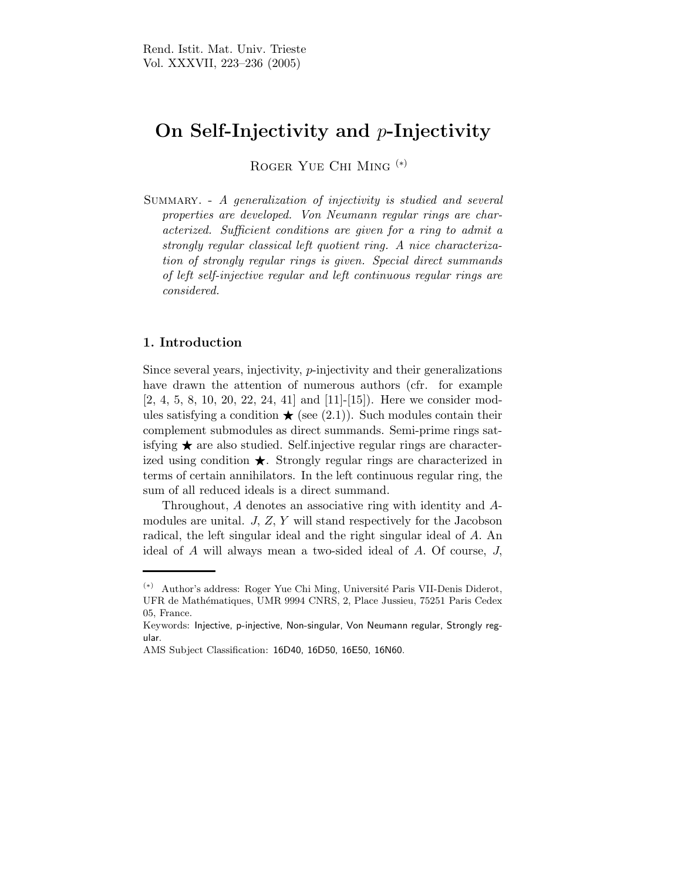## On Self-Injectivity and p-Injectivity

Roger Yue Chi Ming (∗)

SUMMARY. - A generalization of injectivity is studied and several properties are developed. Von Neumann regular rings are characterized. Sufficient conditions are given for a ring to admit a strongly regular classical left quotient ring. A nice characterization of strongly regular rings is given. Special direct summands of left self-injective regular and left continuous regular rings are considered.

## 1. Introduction

Since several years, injectivity, p-injectivity and their generalizations have drawn the attention of numerous authors (cfr. for example [2, 4, 5, 8, 10, 20, 22, 24, 41] and [11]-[15]). Here we consider modules satisfying a condition  $\star$  (see (2.1)). Such modules contain their complement submodules as direct summands. Semi-prime rings satisfying  $\star$  are also studied. Self.injective regular rings are characterized using condition  $\star$ . Strongly regular rings are characterized in terms of certain annihilators. In the left continuous regular ring, the sum of all reduced ideals is a direct summand.

Throughout, A denotes an associative ring with identity and Amodules are unital. J, Z, Y will stand respectively for the Jacobson radical, the left singular ideal and the right singular ideal of A. An ideal of A will always mean a two-sided ideal of A. Of course, J,

<sup>(</sup>∗) Author's address: Roger Yue Chi Ming, Universit´e Paris VII-Denis Diderot, UFR de Math´ematiques, UMR 9994 CNRS, 2, Place Jussieu, 75251 Paris Cedex 05, France.

Keywords: Injective, p-injective, Non-singular, Von Neumann regular, Strongly regular.

AMS Subject Classification: 16D40, 16D50, 16E50, 16N60.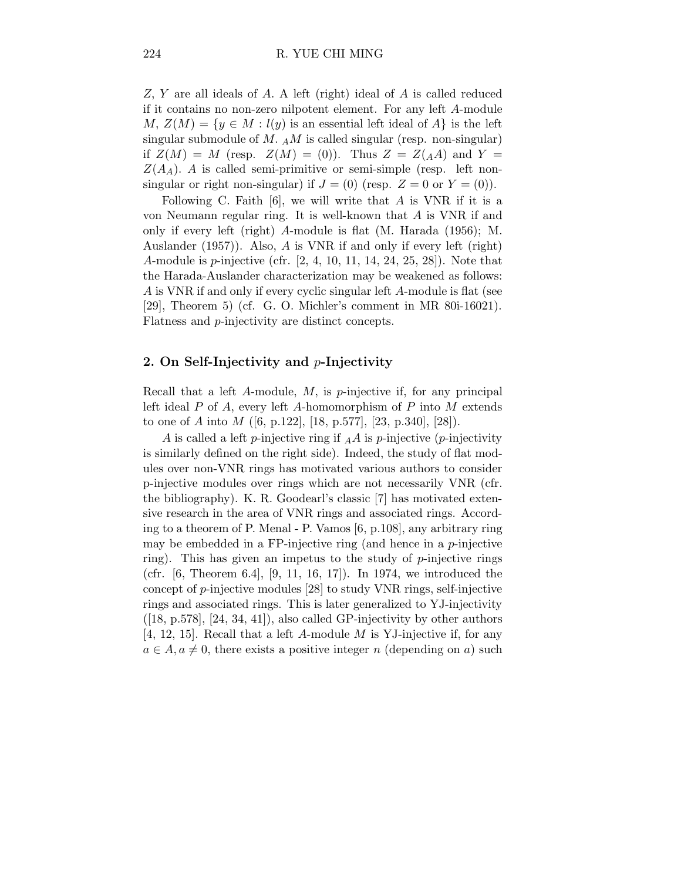Z, Y are all ideals of A. A left (right) ideal of A is called reduced if it contains no non-zero nilpotent element. For any left A-module  $M, Z(M) = \{y \in M : l(y)$  is an essential left ideal of  $A\}$  is the left singular submodule of M.  $_A M$  is called singular (resp. non-singular) if  $Z(M) = M$  (resp.  $Z(M) = (0)$ ). Thus  $Z = Z(A)$  and  $Y =$  $Z(A_A)$ . A is called semi-primitive or semi-simple (resp. left nonsingular or right non-singular) if  $J = (0)$  (resp.  $Z = 0$  or  $Y = (0)$ ).

Following C. Faith  $[6]$ , we will write that A is VNR if it is a von Neumann regular ring. It is well-known that A is VNR if and only if every left (right) A-module is flat (M. Harada (1956); M. Auslander (1957)). Also, A is VNR if and only if every left (right) A-module is p-injective (cfr. [2, 4, 10, 11, 14, 24, 25, 28]). Note that the Harada-Auslander characterization may be weakened as follows: A is VNR if and only if every cyclic singular left A-module is flat (see [29], Theorem 5) (cf. G. O. Michler's comment in MR 80i-16021). Flatness and p-injectivity are distinct concepts.

## 2. On Self-Injectivity and  $p$ -Injectivity

Recall that a left  $A$ -module,  $M$ , is  $p$ -injective if, for any principal left ideal  $P$  of  $A$ , every left  $A$ -homomorphism of  $P$  into  $M$  extends to one of A into M  $([6, p.122], [18, p.577], [23, p.340], [28]).$ 

A is called a left p-injective ring if  $_A A$  is p-injective (p-injectivity is similarly defined on the right side). Indeed, the study of flat modules over non-VNR rings has motivated various authors to consider p-injective modules over rings which are not necessarily VNR (cfr. the bibliography). K. R. Goodearl's classic [7] has motivated extensive research in the area of VNR rings and associated rings. According to a theorem of P. Menal - P. Vamos [6, p.108], any arbitrary ring may be embedded in a FP-injective ring (and hence in a  $p$ -injective ring). This has given an impetus to the study of  $p$ -injective rings (cfr. [6, Theorem 6.4], [9, 11, 16, 17]). In 1974, we introduced the concept of  $p$ -injective modules [28] to study VNR rings, self-injective rings and associated rings. This is later generalized to YJ-injectivity  $([18, p.578], [24, 34, 41]),$  also called GP-injectivity by other authors [4, 12, 15]. Recall that a left A-module M is YJ-injective if, for any  $a \in A, a \neq 0$ , there exists a positive integer n (depending on a) such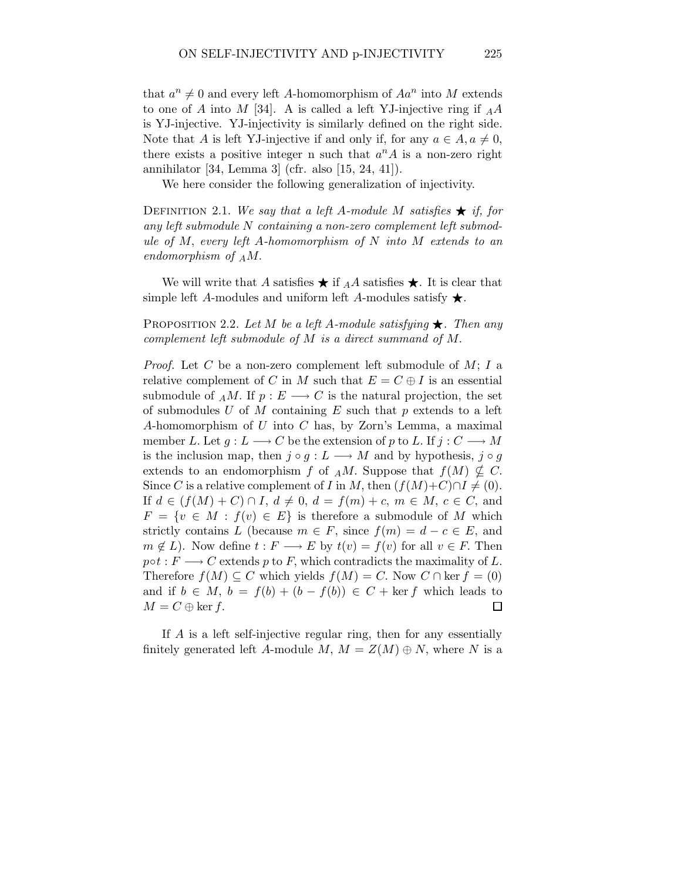that  $a^n \neq 0$  and every left A-homomorphism of  $Aa^n$  into M extends to one of A into M [34]. A is called a left YJ-injective ring if  $_A A$ is YJ-injective. YJ-injectivity is similarly defined on the right side. Note that A is left YJ-injective if and only if, for any  $a \in A, a \neq 0$ , there exists a positive integer n such that  $a^n A$  is a non-zero right annihilator [34, Lemma 3] (cfr. also [15, 24, 41]).

We here consider the following generalization of injectivity.

DEFINITION 2.1. We say that a left A-module M satisfies  $\star$  if, for any left submodule N containing a non-zero complement left submodule of M, every left A-homomorphism of N into M extends to an endomorphism of  $_AM$ .

We will write that A satisfies  $\star$  if  $_A A$  satisfies  $\star$ . It is clear that simple left A-modules and uniform left A-modules satisfy  $\star$ .

PROPOSITION 2.2. Let M be a left A-module satisfying  $\star$ . Then any complement left submodule of M is a direct summand of M.

*Proof.* Let C be a non-zero complement left submodule of  $M$ ; I a relative complement of C in M such that  $E = C \oplus I$  is an essential submodule of  $_A M$ . If  $p : E \longrightarrow C$  is the natural projection, the set of submodules U of M containing  $E$  such that p extends to a left A-homomorphism of U into C has, by Zorn's Lemma, a maximal member L. Let  $g: L \longrightarrow C$  be the extension of p to L. If  $j: C \longrightarrow M$ is the inclusion map, then  $j \circ g : L \longrightarrow M$  and by hypothesis,  $j \circ g$ extends to an endomorphism f of AM. Suppose that  $f(M) \nsubseteq C$ . Since C is a relative complement of I in M, then  $(f(M)+C)\cap I\neq (0)$ . If  $d \in (f(M) + C) \cap I$ ,  $d \neq 0$ ,  $d = f(m) + c$ ,  $m \in M$ ,  $c \in C$ , and  $F = \{v \in M : f(v) \in E\}$  is therefore a submodule of M which strictly contains L (because  $m \in F$ , since  $f(m) = d - c \in E$ , and  $m \notin L$ ). Now define  $t : F \longrightarrow E$  by  $t(v) = f(v)$  for all  $v \in F$ . Then  $p \circ t : F \longrightarrow C$  extends p to F, which contradicts the maximality of L. Therefore  $f(M) \subseteq C$  which yields  $f(M) = C$ . Now  $C \cap \text{ker } f = (0)$ and if  $b \in M$ ,  $b = f(b) + (b - f(b)) \in C + \text{ker } f$  which leads to  $M = C \oplus \ker f$ .  $\Box$ 

If A is a left self-injective regular ring, then for any essentially finitely generated left A-module M,  $M = Z(M) \oplus N$ , where N is a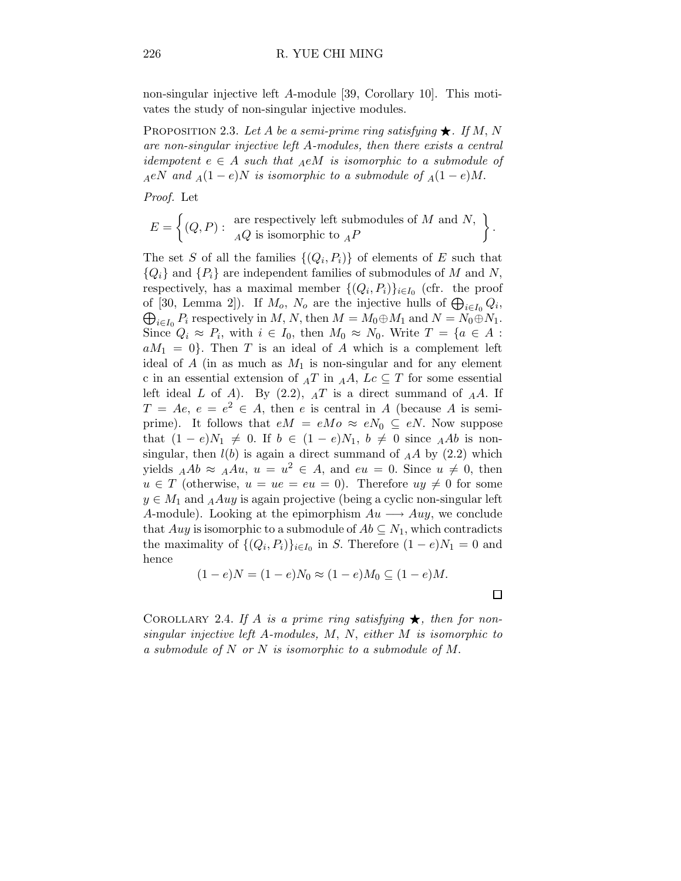non-singular injective left A-module [39, Corollary 10]. This motivates the study of non-singular injective modules.

PROPOSITION 2.3. Let A be a semi-prime ring satisfying  $\bigstar$ . If M, N are non-singular injective left A-modules, then there exists a central idempotent  $e \in A$  such that  $_A e M$  is isomorphic to a submodule of  $_AeN$  and  $_A(1-e)N$  is isomorphic to a submodule of  $_A(1-e)M$ .

Proof. Let

$$
E = \left\{ (Q, P) : \begin{array}{c} \text{are respectively left submodules of } M \text{ and } N, \\ \overline{AQ} \text{ is isomorphic to } {}_{A}P \end{array} \right\}
$$

The set S of all the families  $\{(Q_i, P_i)\}\$ of elements of E such that  ${Q_i}$  and  ${P_i}$  are independent families of submodules of M and N, respectively, has a maximal member  $\{(Q_i, P_i)\}_{i \in I_0}$  (cfr. the proof of [30, Lemma 2]). If  $M_o$ ,  $N_o$  are the injective hulls of  $\bigoplus_{i \in I_0} Q_i$ of [30, Lemma 2]). If  $M_o$ ,  $N_o$  are the injective hulls of  $\bigoplus_{i \in I_0} Q_i$ ,  $\bigoplus_{i \in I_0} P_i$  respectively in  $M$ ,  $N$ , then  $M = M_0 \oplus M_1$  and  $N = N_0 \oplus N_1$ . Since  $Q_i \approx P_i$ , with  $i \in I_0$ , then  $M_0 \approx N_0$ . Write  $T = \{a \in A :$  $aM_1 = 0$ . Then T is an ideal of A which is a complement left ideal of A (in as much as  $M_1$  is non-singular and for any element c in an essential extension of  $_A T$  in  $_A A$ ,  $Lc \subseteq T$  for some essential left ideal  $L$  of  $A$ ). By (2.2),  $_{A}T$  is a direct summand of  $_{A}A$ . If  $T = Ae, e = e^2 \in A$ , then e is central in A (because A is semiprime). It follows that  $eM = eMo \approx eN_0 \subseteq eN$ . Now suppose that  $(1 - e)N_1 \neq 0$ . If  $b \in (1 - e)N_1$ ,  $b \neq 0$  since AAb is nonsingular, then  $l(b)$  is again a direct summand of  $_A A$  by  $(2.2)$  which yields  $_A Ab \approx A\mu, u = u^2 \in A$ , and  $eu = 0$ . Since  $u \neq 0$ , then  $u \in T$  (otherwise,  $u = ue = eu = 0$ ). Therefore  $uy \neq 0$  for some  $y \in M_1$  and  $_A A u y$  is again projective (being a cyclic non-singular left A-module). Looking at the epimorphism  $Au \longrightarrow Auy$ , we conclude that Auy is isomorphic to a submodule of  $Ab \subseteq N_1$ , which contradicts the maximality of  $\{(Q_i, P_i)\}_{i \in I_0}$  in S. Therefore  $(1 - e)N_1 = 0$  and hence

$$
(1-e)N = (1-e)N_0 \approx (1-e)M_0 \subseteq (1-e)M.
$$

COROLLARY 2.4. If A is a prime ring satisfying  $\bigstar$ , then for nonsingular injective left A-modules, M, N, either M is isomorphic to a submodule of N or N is isomorphic to a submodule of M.

 $\Box$ 

.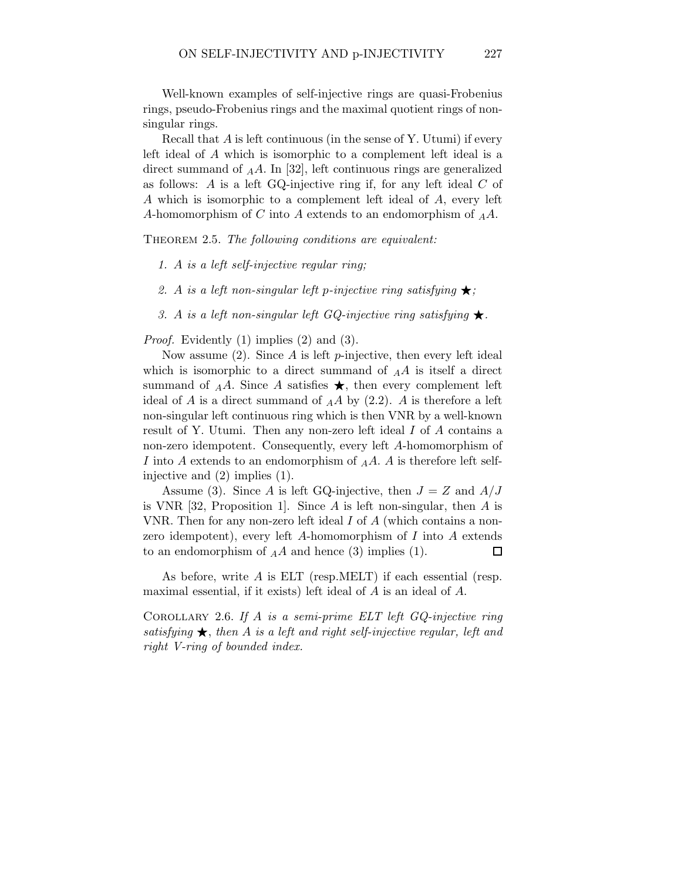Well-known examples of self-injective rings are quasi-Frobenius rings, pseudo-Frobenius rings and the maximal quotient rings of nonsingular rings.

Recall that A is left continuous (in the sense of Y. Utumi) if every left ideal of A which is isomorphic to a complement left ideal is a direct summand of  $_A A$ . In [32], left continuous rings are generalized as follows: A is a left  $GQ$ -injective ring if, for any left ideal C of A which is isomorphic to a complement left ideal of A, every left A-homomorphism of C into A extends to an endomorphism of  $_AA$ .

THEOREM 2.5. The following conditions are equivalent:

- 1. A is a left self-injective regular ring;
- 2. A is a left non-singular left p-injective ring satisfying  $\star$ ;
- 3. A is a left non-singular left GQ-injective ring satisfying  $\star$ .

Proof. Evidently (1) implies (2) and (3).

Now assume  $(2)$ . Since A is left p-injective, then every left ideal which is isomorphic to a direct summand of  $_A A$  is itself a direct summand of  $_A A$ . Since A satisfies  $\star$ , then every complement left ideal of A is a direct summand of  $_A A$  by (2.2). A is therefore a left non-singular left continuous ring which is then VNR by a well-known result of Y. Utumi. Then any non-zero left ideal I of A contains a non-zero idempotent. Consequently, every left A-homomorphism of I into A extends to an endomorphism of  $_A A$ . A is therefore left selfinjective and (2) implies (1).

Assume (3). Since A is left GQ-injective, then  $J = Z$  and  $A/J$ is VNR  $[32,$  Proposition 1. Since A is left non-singular, then A is VNR. Then for any non-zero left ideal I of A (which contains a nonzero idempotent), every left A-homomorphism of I into A extends to an endomorphism of  $_A A$  and hence (3) implies (1).  $\Box$ 

As before, write A is ELT (resp.MELT) if each essential (resp. maximal essential, if it exists) left ideal of A is an ideal of A.

COROLLARY 2.6. If  $A$  is a semi-prime ELT left  $GQ$ -injective ring satisfying  $\star$ , then A is a left and right self-injective regular, left and right V-ring of bounded index.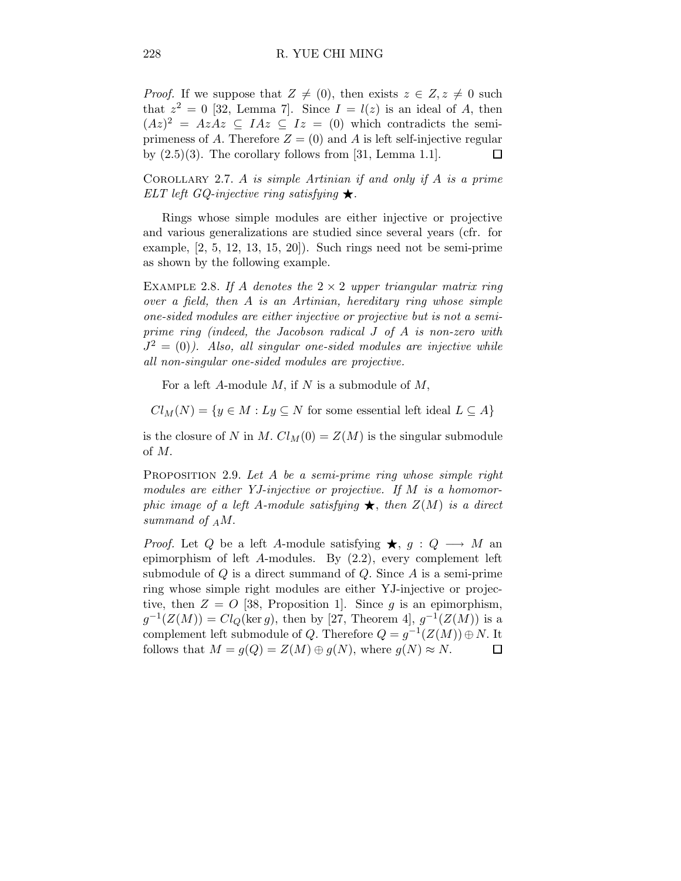*Proof.* If we suppose that  $Z \neq (0)$ , then exists  $z \in Z$ ,  $z \neq 0$  such that  $z^2 = 0$  [32, Lemma 7]. Since  $I = l(z)$  is an ideal of A, then  $(Az)^2 = AzAz \subseteq IAz \subseteq Iz = (0)$  which contradicts the semiprimeness of A. Therefore  $Z = (0)$  and A is left self-injective regular by  $(2.5)(3)$ . The corollary follows from [31, Lemma 1.1]. П

COROLLARY 2.7. A is simple Artinian if and only if A is a prime ELT left GQ-injective ring satisfying  $\star$ .

Rings whose simple modules are either injective or projective and various generalizations are studied since several years (cfr. for example, [2, 5, 12, 13, 15, 20]). Such rings need not be semi-prime as shown by the following example.

EXAMPLE 2.8. If A denotes the  $2 \times 2$  upper triangular matrix ring over a field, then A is an Artinian, hereditary ring whose simple one-sided modules are either injective or projective but is not a semiprime ring (indeed, the Jacobson radical J of A is non-zero with  $J^2 = (0)$ ). Also, all singular one-sided modules are injective while all non-singular one-sided modules are projective.

For a left A-module  $M$ , if  $N$  is a submodule of  $M$ ,

 $Cl_M(N) = \{y \in M : Ly \subseteq N \text{ for some essential left ideal } L \subseteq A\}$ 

is the closure of N in M.  $Cl_M(0) = Z(M)$  is the singular submodule of M.

PROPOSITION 2.9. Let A be a semi-prime ring whose simple right modules are either YJ-injective or projective. If M is a homomorphic image of a left A-module satisfying  $\bigstar$ , then  $Z(M)$  is a direct summand of  $_AM$ .

*Proof.* Let Q be a left A-module satisfying  $\star$ ,  $g : Q \longrightarrow M$  and epimorphism of left A-modules. By (2.2), every complement left submodule of  $Q$  is a direct summand of  $Q$ . Since  $A$  is a semi-prime ring whose simple right modules are either YJ-injective or projective, then  $Z = O$  [38, Proposition 1]. Since g is an epimorphism,  $g^{-1}(Z(M)) = Cl_Q(\ker g)$ , then by [27, Theorem 4],  $g^{-1}(Z(M))$  is a complement left submodule of Q. Therefore  $Q = g^{-1}(Z(M)) \oplus N$ . It follows that  $M = g(Q) = Z(M) \oplus g(N)$ , where  $g(N) \approx N$ .  $\Box$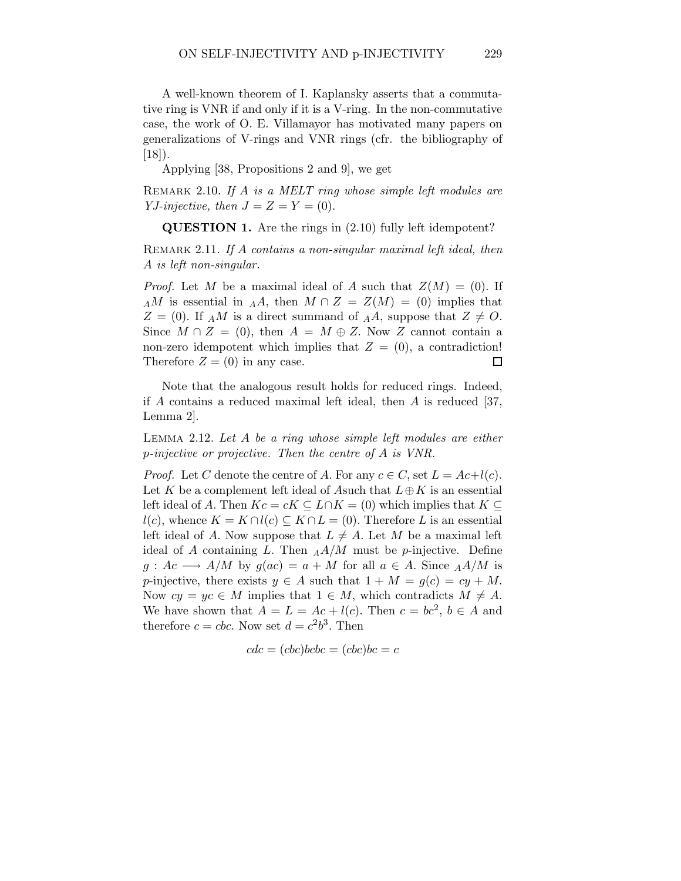A well-known theorem of I. Kaplansky asserts that a commutative ring is VNR if and only if it is a V-ring. In the non-commutative case, the work of O. E. Villamayor has motivated many papers on generalizations of V-rings and VNR rings (cfr. the bibliography of  $[18]$ .

Applying [38, Propositions 2 and 9], we get

REMARK 2.10. If A is a MELT ring whose simple left modules are YJ-injective, then  $J = Z = Y = (0)$ .

QUESTION 1. Are the rings in (2.10) fully left idempotent?

REMARK 2.11. If A contains a non-singular maximal left ideal, then A is left non-singular.

*Proof.* Let M be a maximal ideal of A such that  $Z(M) = (0)$ . If AM is essential in AA, then  $M \cap Z = Z(M) = (0)$  implies that  $Z = (0)$ . If AM is a direct summand of AA, suppose that  $Z \neq O$ . Since  $M \cap Z = (0)$ , then  $A = M \oplus Z$ . Now Z cannot contain a non-zero idempotent which implies that  $Z = (0)$ , a contradiction! Therefore  $Z = (0)$  in any case.  $\Box$ 

Note that the analogous result holds for reduced rings. Indeed, if  $A$  contains a reduced maximal left ideal, then  $A$  is reduced [37, Lemma 2].

Lemma 2.12. Let A be a ring whose simple left modules are either p-injective or projective. Then the centre of A is VNR.

*Proof.* Let C denote the centre of A. For any  $c \in C$ , set  $L = Ac+l(c)$ . Let K be a complement left ideal of Asuch that  $L \oplus K$  is an essential left ideal of A. Then  $Kc = cK \subseteq L \cap K = (0)$  which implies that  $K \subseteq$  $l(c)$ , whence  $K = K \cap l(c) \subseteq K \cap L = (0)$ . Therefore L is an essential left ideal of A. Now suppose that  $L \neq A$ . Let M be a maximal left ideal of A containing L. Then  $_A A/M$  must be p-injective. Define  $g: Ac \longrightarrow A/M$  by  $g(ac) = a + M$  for all  $a \in A$ . Since  $_A A/M$  is p-injective, there exists  $y \in A$  such that  $1 + M = g(c) = cy + M$ . Now  $cy = yc \in M$  implies that  $1 \in M$ , which contradicts  $M \neq A$ . We have shown that  $A = L = Ac + l(c)$ . Then  $c = bc^2$ ,  $b \in A$  and therefore  $c = cbc$ . Now set  $d = c^2b^3$ . Then

$$
cdc = (cbc)bcbc = (cbc)bc = c
$$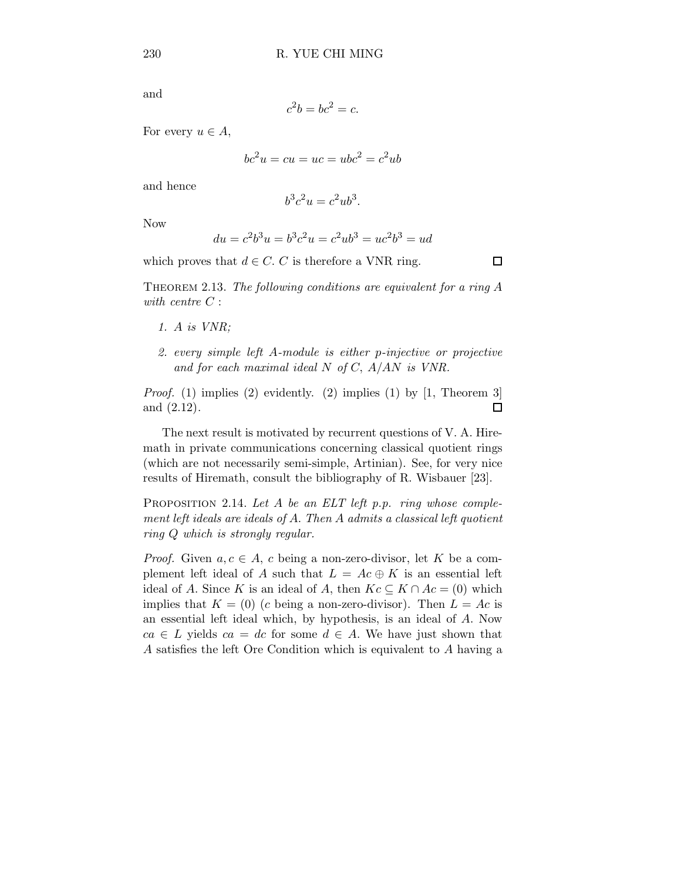and

$$
c^2b = bc^2 = c.
$$

For every  $u \in A$ ,

$$
bc^2u = cu = uc = ubc^2 = c^2ub
$$

and hence

$$
b^3c^2u=c^2ub^3.
$$

Now

$$
du = c^2 b^3 u = b^3 c^2 u = c^2 u b^3 = u c^2 b^3 = u d
$$

which proves that  $d \in C$ . C is therefore a VNR ring.

THEOREM 2.13. The following conditions are equivalent for a ring  $A$ with centre C :

- 1. A is VNR;
- 2. every simple left A-module is either p-injective or projective and for each maximal ideal  $N$  of  $C$ ,  $A/AN$  is  $VNR$ .

*Proof.* (1) implies (2) evidently. (2) implies (1) by [1, Theorem 3] and (2.12).  $\Box$ 

The next result is motivated by recurrent questions of V. A. Hiremath in private communications concerning classical quotient rings (which are not necessarily semi-simple, Artinian). See, for very nice results of Hiremath, consult the bibliography of R. Wisbauer [23].

PROPOSITION 2.14. Let  $A$  be an ELT left p.p. ring whose complement left ideals are ideals of A. Then A admits a classical left quotient ring Q which is strongly regular.

*Proof.* Given  $a, c \in A$ , c being a non-zero-divisor, let K be a complement left ideal of A such that  $L = Ac \oplus K$  is an essential left ideal of A. Since K is an ideal of A, then  $Kc \subseteq K \cap Ac = (0)$  which implies that  $K = (0)$  (c being a non-zero-divisor). Then  $L = Ac$  is an essential left ideal which, by hypothesis, is an ideal of A. Now  $ca \in L$  yields  $ca = dc$  for some  $d \in A$ . We have just shown that A satisfies the left Ore Condition which is equivalent to A having a

 $\Box$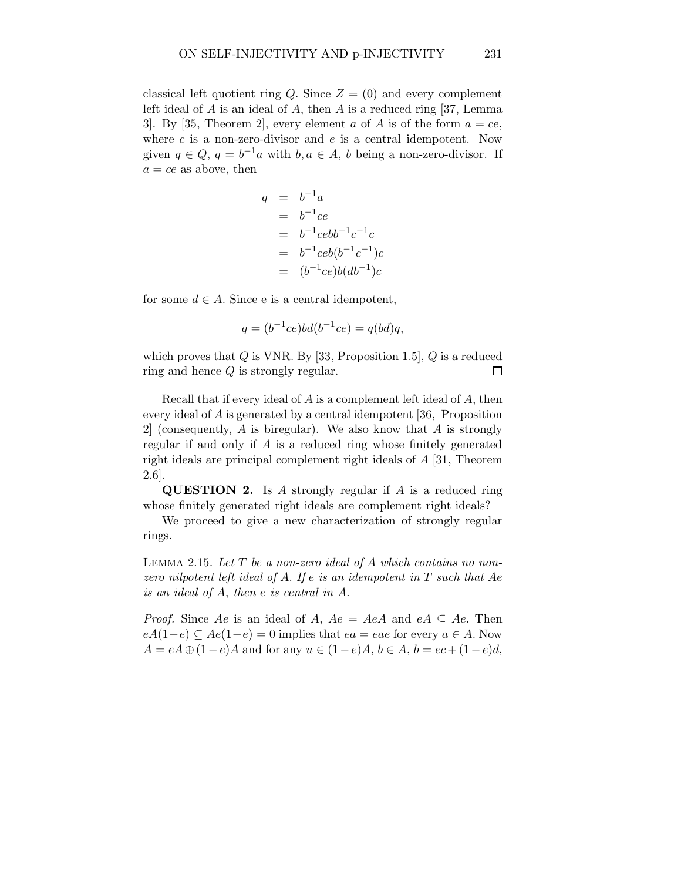classical left quotient ring Q. Since  $Z = (0)$  and every complement left ideal of  $A$  is an ideal of  $A$ , then  $A$  is a reduced ring [37, Lemma 3. By [35, Theorem 2], every element a of A is of the form  $a = ce$ , where  $c$  is a non-zero-divisor and  $e$  is a central idempotent. Now given  $q \in Q$ ,  $q = b^{-1}a$  with  $b, a \in A$ , b being a non-zero-divisor. If  $a = ce$  as above, then

$$
q = b^{-1}a
$$
  
=  $b^{-1}ce$   
=  $b^{-1}cebb^{-1}c^{-1}c$   
=  $b^{-1}cebb^{-1}c^{-1}bc$   
=  $(b^{-1}ce)b(db^{-1})c$ 

for some  $d \in A$ . Since e is a central idempotent,

$$
q = (b^{-1}ce)bd(b^{-1}ce) = q(bd)q,
$$

which proves that  $Q$  is VNR. By [33, Proposition 1.5],  $Q$  is a reduced ring and hence Q is strongly regular.  $\Box$ 

Recall that if every ideal of A is a complement left ideal of A, then every ideal of A is generated by a central idempotent [36, Proposition 2 (consequently, A is biregular). We also know that A is strongly regular if and only if A is a reduced ring whose finitely generated right ideals are principal complement right ideals of A [31, Theorem 2.6].

QUESTION 2. Is A strongly regular if A is a reduced ring whose finitely generated right ideals are complement right ideals?

We proceed to give a new characterization of strongly regular rings.

LEMMA 2.15. Let  $T$  be a non-zero ideal of  $A$  which contains no nonzero nilpotent left ideal of A. If e is an idempotent in  $T$  such that Ae is an ideal of A, then e is central in A.

*Proof.* Since Ae is an ideal of A,  $Ae = AeA$  and  $eA \subseteq Ae$ . Then  $eA(1-e) \subseteq Ae(1-e) = 0$  implies that  $ea = eae$  for every  $a \in A$ . Now  $A = eA \oplus (1-e)A$  and for any  $u \in (1-e)A$ ,  $b \in A$ ,  $b = ec + (1-e)d$ ,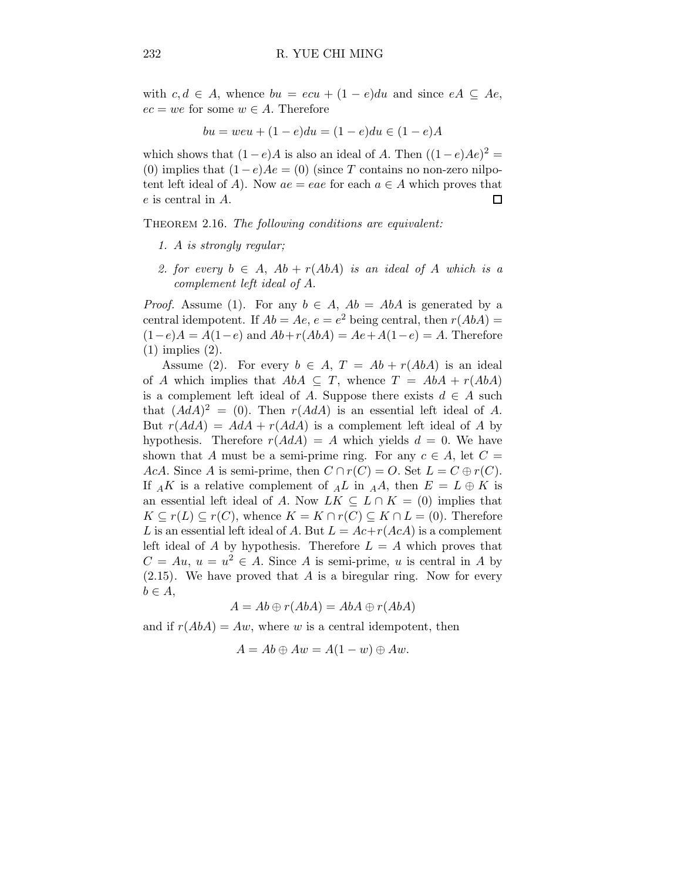with  $c, d \in A$ , whence  $bu = ecu + (1 - e)du$  and since  $eA \subseteq Ae$ ,  $ec = we$  for some  $w \in A$ . Therefore

$$
bu = weu + (1 - e)du = (1 - e)du \in (1 - e)A
$$

which shows that  $(1-e)A$  is also an ideal of A. Then  $((1-e)Ae)^2 =$ (0) implies that  $(1-e)Ae = (0)$  (since T contains no non-zero nilpotent left ideal of A). Now  $ae = eae$  for each  $a \in A$  which proves that e is central in A.  $\Box$ 

THEOREM 2.16. The following conditions are equivalent:

- 1. A is strongly regular;
- 2. for every  $b \in A$ ,  $Ab + r(AbA)$  is an ideal of A which is a complement left ideal of A.

*Proof.* Assume (1). For any  $b \in A$ ,  $Ab = AbA$  is generated by a central idempotent. If  $Ab = Ae$ ,  $e = e^2$  being central, then  $r(AbA) =$  $(1-e)A = A(1-e)$  and  $Ab+r(AbA) = Ae + A(1-e) = A$ . Therefore (1) implies (2).

Assume (2). For every  $b \in A$ ,  $T = Ab + r(AbA)$  is an ideal of A which implies that  $AbA \subseteq T$ , whence  $T = AbA + r(AbA)$ is a complement left ideal of A. Suppose there exists  $d \in A$  such that  $(AdA)^2 = (0)$ . Then  $r(AdA)$  is an essential left ideal of A. But  $r(AdA) = AdA + r(AdA)$  is a complement left ideal of A by hypothesis. Therefore  $r(AdA) = A$  which yields  $d = 0$ . We have shown that A must be a semi-prime ring. For any  $c \in A$ , let  $C =$ AcA. Since A is semi-prime, then  $C \cap r(C) = O$ . Set  $L = C \oplus r(C)$ . If  $_A K$  is a relative complement of  $_A L$  in  $_A A$ , then  $E = L \oplus K$  is an essential left ideal of A. Now  $LK \subseteq L \cap K = (0)$  implies that  $K \subseteq r(L) \subseteq r(C)$ , whence  $K = K \cap r(C) \subseteq K \cap L = (0)$ . Therefore L is an essential left ideal of A. But  $L = Ac+r(AcA)$  is a complement left ideal of A by hypothesis. Therefore  $L = A$  which proves that  $C = Au, u = u^2 \in A$ . Since A is semi-prime, u is central in A by  $(2.15)$ . We have proved that A is a biregular ring. Now for every  $b \in A$ ,

$$
A = Ab \oplus r(AbA) = AbA \oplus r(AbA)
$$

and if  $r(AbA) = Aw$ , where w is a central idempotent, then

$$
A = Ab \oplus Aw = A(1 - w) \oplus Aw.
$$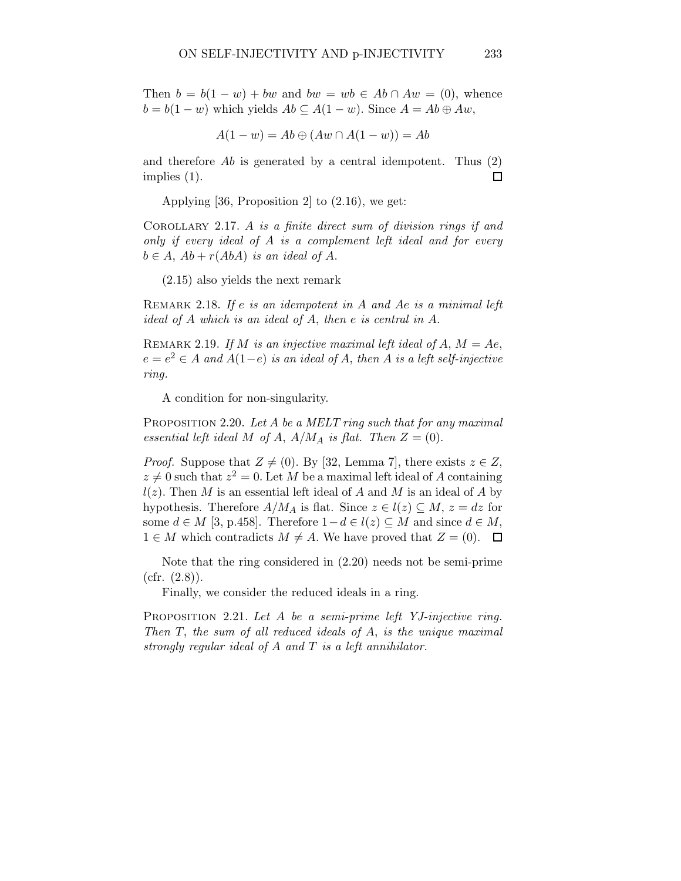Then  $b = b(1 - w) + bw$  and  $bw = wb \in Ab \cap Aw = (0)$ , whence  $b = b(1 - w)$  which yields  $Ab \subseteq A(1 - w)$ . Since  $A = Ab \oplus Aw$ ,

$$
A(1 - w) = Ab \oplus (Aw \cap A(1 - w)) = Ab
$$

and therefore  $Ab$  is generated by a central idempotent. Thus  $(2)$ implies (1).  $\Box$ 

Applying [36, Proposition 2] to (2.16), we get:

COROLLARY 2.17. A is a finite direct sum of division rings if and only if every ideal of A is a complement left ideal and for every  $b \in A$ ,  $Ab + r(AbA)$  is an ideal of A.

(2.15) also yields the next remark

REMARK 2.18. If  $e$  is an idempotent in  $A$  and  $Ae$  is a minimal left ideal of A which is an ideal of A, then e is central in A.

REMARK 2.19. If M is an injective maximal left ideal of A,  $M = Ae$ ,  $e = e^2 \in A$  and  $A(1-e)$  is an ideal of A, then A is a left self-injective ring.

A condition for non-singularity.

PROPOSITION 2.20. Let A be a MELT ring such that for any maximal essential left ideal M of A,  $A/M_A$  is flat. Then  $Z = (0)$ .

*Proof.* Suppose that  $Z \neq (0)$ . By [32, Lemma 7], there exists  $z \in Z$ ,  $z \neq 0$  such that  $z^2 = 0$ . Let M be a maximal left ideal of A containing  $l(z)$ . Then M is an essential left ideal of A and M is an ideal of A by hypothesis. Therefore  $A/M_A$  is flat. Since  $z \in l(z) \subseteq M$ ,  $z = dz$  for some  $d \in M$  [3, p.458]. Therefore  $1-d \in l(z) \subseteq M$  and since  $d \in M$ ,  $1 \in M$  which contradicts  $M \neq A$ . We have proved that  $Z = (0)$ .  $\Box$ 

Note that the ring considered in (2.20) needs not be semi-prime  $(cfr. (2.8)).$ 

Finally, we consider the reduced ideals in a ring.

PROPOSITION 2.21. Let A be a semi-prime left YJ-injective ring. Then  $T$ , the sum of all reduced ideals of  $A$ , is the unique maximal strongly regular ideal of A and T is a left annihilator.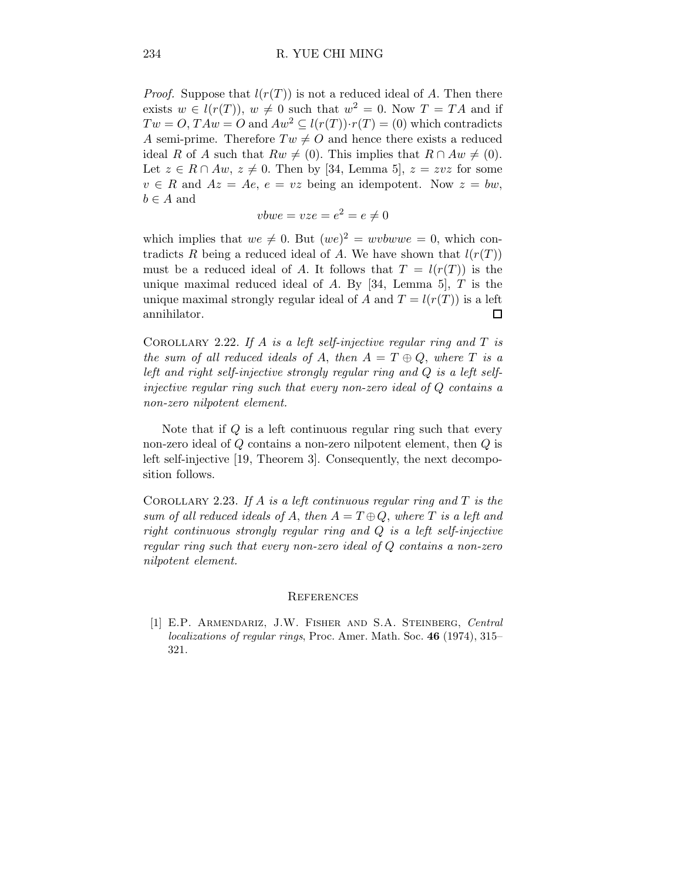*Proof.* Suppose that  $l(r(T))$  is not a reduced ideal of A. Then there exists  $w \in l(r(T))$ ,  $w \neq 0$  such that  $w^2 = 0$ . Now  $T = TA$  and if  $Tw = O$ ,  $TAw = O$  and  $Aw^2 \subseteq l(r(T)) \cdot r(T) = (0)$  which contradicts A semi-prime. Therefore  $Tw \neq O$  and hence there exists a reduced ideal R of A such that  $Rw \neq (0)$ . This implies that  $R \cap Aw \neq (0)$ . Let  $z \in R \cap Aw$ ,  $z \neq 0$ . Then by [34, Lemma 5],  $z = zvz$  for some  $v \in R$  and  $Az = Ae$ ,  $e = vz$  being an idempotent. Now  $z = bw$ ,  $b \in A$  and

$$
vbwe = vze = e^2 = e \neq 0
$$

which implies that  $we \neq 0$ . But  $(we)^2 = wvbwwe = 0$ , which contradicts R being a reduced ideal of A. We have shown that  $l(r(T))$ must be a reduced ideal of A. It follows that  $T = l(r(T))$  is the unique maximal reduced ideal of A. By [34, Lemma 5], T is the unique maximal strongly regular ideal of A and  $T = l(r(T))$  is a left annihilator.  $\Box$ 

COROLLARY 2.22. If A is a left self-injective regular ring and  $T$  is the sum of all reduced ideals of A, then  $A = T \oplus Q$ , where T is a left and right self-injective strongly regular ring and Q is a left selfinjective regular ring such that every non-zero ideal of Q contains a non-zero nilpotent element.

Note that if Q is a left continuous regular ring such that every non-zero ideal of  $Q$  contains a non-zero nilpotent element, then  $Q$  is left self-injective [19, Theorem 3]. Consequently, the next decomposition follows.

COROLLARY 2.23. If A is a left continuous regular ring and  $T$  is the sum of all reduced ideals of A, then  $A = T \oplus Q$ , where T is a left and right continuous strongly regular ring and Q is a left self-injective regular ring such that every non-zero ideal of Q contains a non-zero nilpotent element.

## **REFERENCES**

[1] E.P. Armendariz, J.W. Fisher and S.A. Steinberg, Central localizations of regular rings, Proc. Amer. Math. Soc. 46 (1974), 315– 321.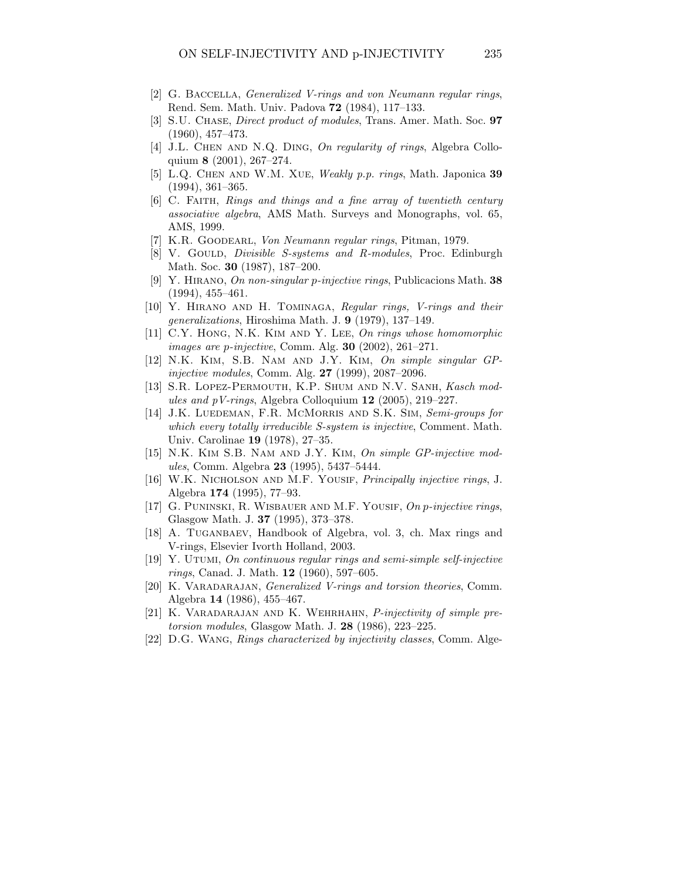- [2] G. BACCELLA, *Generalized V-rings and von Neumann regular rings*, Rend. Sem. Math. Univ. Padova 72 (1984), 117–133.
- [3] S.U. CHASE, *Direct product of modules*, Trans. Amer. Math. Soc. 97 (1960), 457–473.
- [4] J.L. CHEN AND N.Q. DING, On regularity of rings, Algebra Colloquium 8 (2001), 267–274.
- [5] L.Q. Chen and W.M. Xue, Weakly p.p. rings, Math. Japonica 39 (1994), 361–365.
- [6] C. FAITH, Rings and things and a fine array of twentieth century associative algebra, AMS Math. Surveys and Monographs, vol. 65, AMS, 1999.
- [7] K.R. GOODEARL, Von Neumann regular rings, Pitman, 1979.
- [8] V. GOULD, *Divisible S-systems and R-modules*, Proc. Edinburgh Math. Soc. 30 (1987), 187–200.
- [9] Y. Hirano, On non-singular p-injective rings, Publicacions Math. 38 (1994), 455–461.
- [10] Y. Hirano and H. Tominaga, Regular rings, V-rings and their generalizations, Hiroshima Math. J. 9 (1979), 137–149.
- [11] C.Y. HONG, N.K. KIM AND Y. LEE, On rings whose homomorphic images are p-injective, Comm. Alg. 30 (2002), 261–271.
- [12] N.K. Kim, S.B. Nam and J.Y. Kim, On simple singular GPinjective modules, Comm. Alg. 27 (1999), 2087–2096.
- [13] S.R. Lopez-Permouth, K.P. Shum and N.V. Sanh, Kasch modules and pV-rings, Algebra Colloquium 12 (2005), 219–227.
- [14] J.K. LUEDEMAN, F.R. MCMORRIS AND S.K. SIM, Semi-groups for which every totally irreducible S-system is injective, Comment. Math. Univ. Carolinae 19 (1978), 27–35.
- [15] N.K. KIM S.B. NAM AND J.Y. KIM, On simple GP-injective modules, Comm. Algebra 23 (1995), 5437–5444.
- [16] W.K. NICHOLSON AND M.F. YOUSIF, *Principally injective rings*, J. Algebra 174 (1995), 77–93.
- [17] G. PUNINSKI, R. WISBAUER AND M.F. YOUSIF, On p-injective rings, Glasgow Math. J. 37 (1995), 373–378.
- [18] A. TUGANBAEV, Handbook of Algebra, vol. 3, ch. Max rings and V-rings, Elsevier Ivorth Holland, 2003.
- [19] Y. Utumi, On continuous regular rings and semi-simple self-injective rings, Canad. J. Math. 12 (1960), 597–605.
- [20] K. VARADARAJAN, *Generalized V-rings and torsion theories*, Comm. Algebra 14 (1986), 455–467.
- [21] K. Varadarajan and K. Wehrhahn, P-injectivity of simple pretorsion modules, Glasgow Math. J. 28 (1986), 223–225.
- [22] D.G. Wang, Rings characterized by injectivity classes, Comm. Alge-